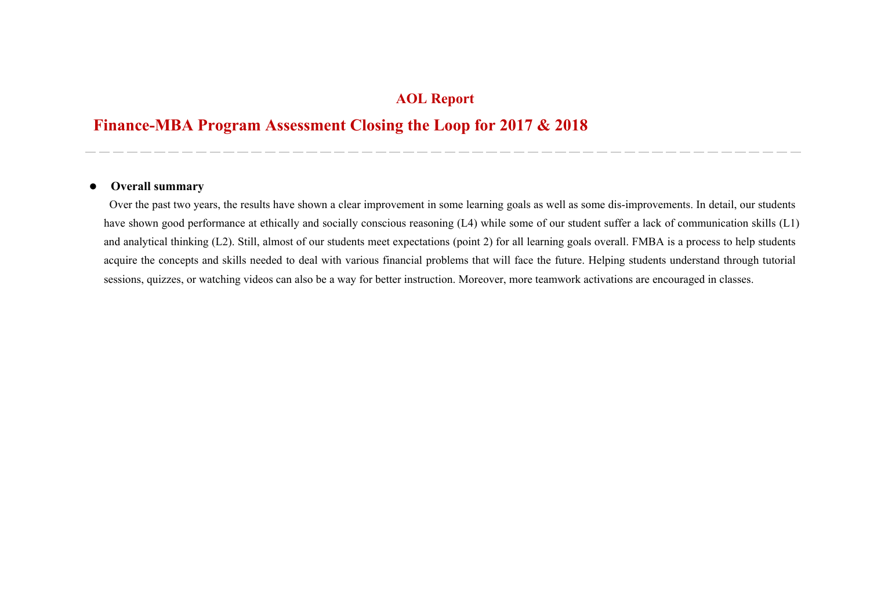## **AOL Report**

## **Finance-MBA Program Assessment Closing the Loop for 2017 & 2018**

## $\bullet$ **Overall summary**

Over the past two years, the results have shown a clear improvement in some learning goals as well as some dis-improvements. In detail, our students have shown good performance at ethically and socially conscious reasoning (L4) while some of our student suffer a lack of communication skills (L1) and analytical thinking (L2). Still, almost of our students meet expectations (point 2) for all learning goals overall. FMBA is a process to help students acquire the concepts and skills needed to deal with various financial problems that will face the future. Helping students understand through tutorial sessions, quizzes, or watching videos can also be a way for better instruction. Moreover, more teamwork activations are encouraged in classes.

\_\_\_\_\_\_\_\_\_\_\_\_\_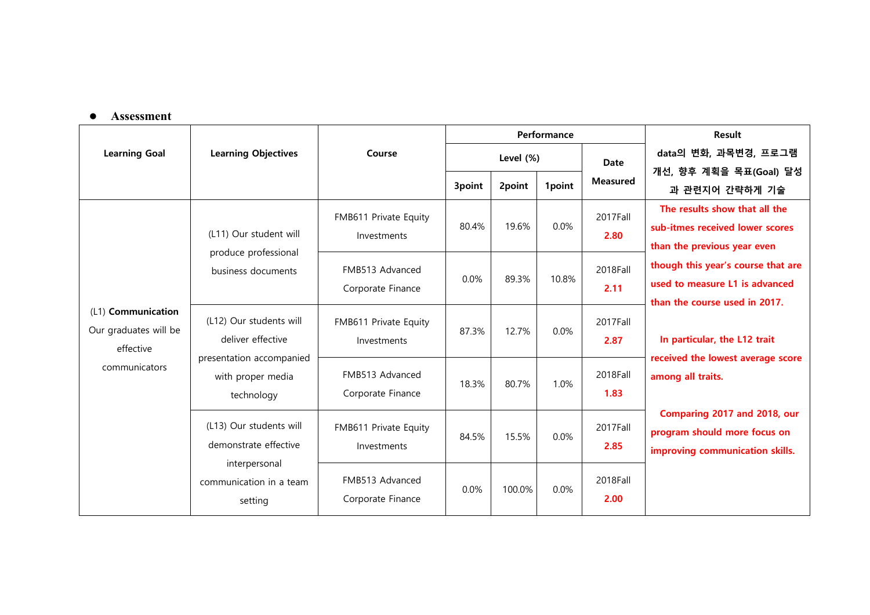## **Assessment**

|                                                                           | <b>Learning Objectives</b>                                                                              | Course                               |           |        | Performance | Result           |                                                                                                                                                                                                                                                                                                                                                                                                                         |
|---------------------------------------------------------------------------|---------------------------------------------------------------------------------------------------------|--------------------------------------|-----------|--------|-------------|------------------|-------------------------------------------------------------------------------------------------------------------------------------------------------------------------------------------------------------------------------------------------------------------------------------------------------------------------------------------------------------------------------------------------------------------------|
| <b>Learning Goal</b>                                                      |                                                                                                         |                                      | Level (%) |        |             | <b>Date</b>      | data의 변화, 과목변경, 프로그램                                                                                                                                                                                                                                                                                                                                                                                                    |
|                                                                           |                                                                                                         |                                      | 3point    | 2point | 1point      | <b>Measured</b>  | 개선, 향후 계획을 목표(Goal) 달성                                                                                                                                                                                                                                                                                                                                                                                                  |
| (L1) Communication<br>Our graduates will be<br>effective<br>communicators | (L11) Our student will<br>produce professional<br>business documents                                    | FMB611 Private Equity<br>Investments | 80.4%     | 19.6%  | 0.0%        | 2017Fall<br>2.80 | 과 관련지어 간략하게 기술<br>The results show that all the<br>sub-itmes received lower scores<br>than the previous year even<br>though this year's course that are<br>used to measure L1 is advanced<br>than the course used in 2017.<br>In particular, the L12 trait<br>received the lowest average score<br>among all traits.<br>Comparing 2017 and 2018, our<br>program should more focus on<br>improving communication skills. |
|                                                                           |                                                                                                         | FMB513 Advanced<br>Corporate Finance | 0.0%      | 89.3%  | 10.8%       | 2018Fall<br>2.11 |                                                                                                                                                                                                                                                                                                                                                                                                                         |
|                                                                           | (L12) Our students will<br>deliver effective                                                            | FMB611 Private Equity<br>Investments | 87.3%     | 12.7%  | 0.0%        | 2017Fall<br>2.87 |                                                                                                                                                                                                                                                                                                                                                                                                                         |
|                                                                           | presentation accompanied<br>with proper media<br>technology                                             | FMB513 Advanced<br>Corporate Finance | 18.3%     | 80.7%  | 1.0%        | 2018Fall<br>1.83 |                                                                                                                                                                                                                                                                                                                                                                                                                         |
|                                                                           | (L13) Our students will<br>demonstrate effective<br>interpersonal<br>communication in a team<br>setting | FMB611 Private Equity<br>Investments | 84.5%     | 15.5%  | $0.0\%$     | 2017Fall<br>2.85 |                                                                                                                                                                                                                                                                                                                                                                                                                         |
|                                                                           |                                                                                                         | FMB513 Advanced<br>Corporate Finance | 0.0%      | 100.0% | 0.0%        | 2018Fall<br>2.00 |                                                                                                                                                                                                                                                                                                                                                                                                                         |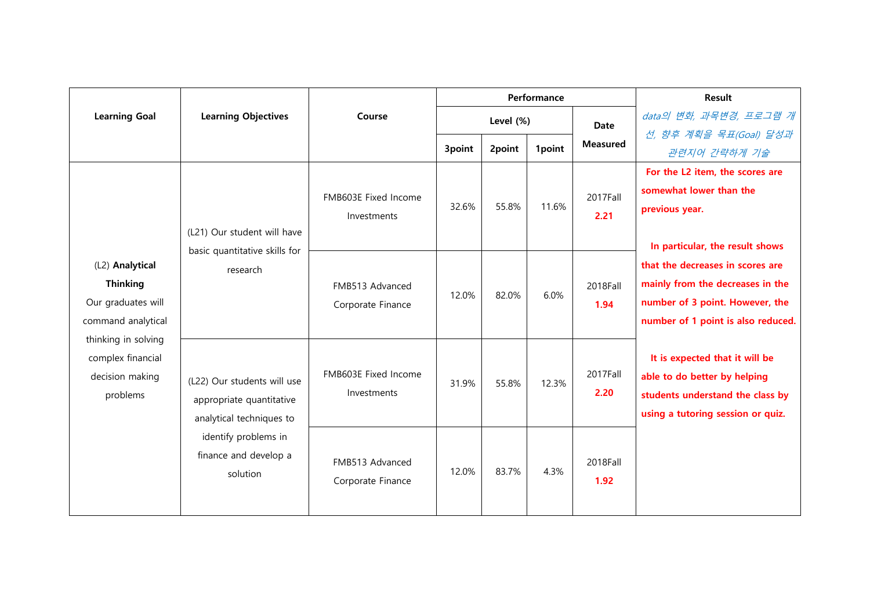|                                                                                                                                                           | <b>Learning Objectives</b>                                                          | Course                               | Performance |        |        |                  | Result                                                                                                                                        |
|-----------------------------------------------------------------------------------------------------------------------------------------------------------|-------------------------------------------------------------------------------------|--------------------------------------|-------------|--------|--------|------------------|-----------------------------------------------------------------------------------------------------------------------------------------------|
| <b>Learning Goal</b>                                                                                                                                      |                                                                                     |                                      | Level (%)   |        |        | <b>Date</b>      | data의 변화, 과목변경, 프로그램 개                                                                                                                        |
|                                                                                                                                                           |                                                                                     |                                      | 3point      | 2point | 1point | <b>Measured</b>  | 선, 향후 계획을 목표(Goal) 달성과<br>관련지어 간략하게 기술                                                                                                        |
|                                                                                                                                                           | (L21) Our student will have                                                         | FMB603E Fixed Income<br>Investments  | 32.6%       | 55.8%  | 11.6%  | 2017Fall<br>2.21 | For the L2 item, the scores are<br>somewhat lower than the<br>previous year.<br>In particular, the result shows                               |
| (L2) Analytical<br><b>Thinking</b><br>Our graduates will<br>command analytical<br>thinking in solving<br>complex financial<br>decision making<br>problems | basic quantitative skills for<br>research                                           | FMB513 Advanced<br>Corporate Finance | 12.0%       | 82.0%  | 6.0%   | 2018Fall<br>1.94 | that the decreases in scores are<br>mainly from the decreases in the<br>number of 3 point. However, the<br>number of 1 point is also reduced. |
|                                                                                                                                                           | (L22) Our students will use<br>appropriate quantitative<br>analytical techniques to | FMB603E Fixed Income<br>Investments  | 31.9%       | 55.8%  | 12.3%  | 2017Fall<br>2.20 | It is expected that it will be<br>able to do better by helping<br>students understand the class by<br>using a tutoring session or quiz.       |
|                                                                                                                                                           | identify problems in<br>finance and develop a<br>solution                           | FMB513 Advanced<br>Corporate Finance | 12.0%       | 83.7%  | 4.3%   | 2018Fall<br>1.92 |                                                                                                                                               |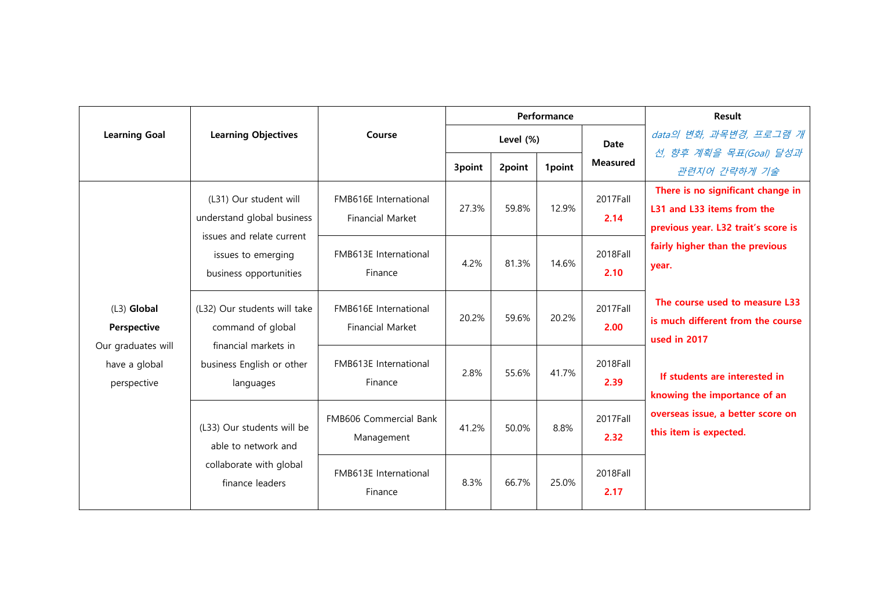|                              | <b>Learning Objectives</b>                                                                                                        | Course                                           | Performance |        |        |                 | Result                                                                 |
|------------------------------|-----------------------------------------------------------------------------------------------------------------------------------|--------------------------------------------------|-------------|--------|--------|-----------------|------------------------------------------------------------------------|
| <b>Learning Goal</b>         |                                                                                                                                   |                                                  | Level (%)   |        |        | <b>Date</b>     | data의 변화, 과목변경, 프로그램 개                                                 |
|                              |                                                                                                                                   |                                                  |             |        |        | <b>Measured</b> | 선, 향후 계획을 목표(Goal) 달성과                                                 |
|                              |                                                                                                                                   |                                                  | 3point      | 2point | 1point |                 | 관련지어 간략하게 기술                                                           |
|                              | (L31) Our student will<br>understand global business<br>issues and relate current<br>issues to emerging<br>business opportunities | FMB616E International<br><b>Financial Market</b> | 27.3%       | 59.8%  | 12.9%  | 2017Fall        | There is no significant change in                                      |
|                              |                                                                                                                                   |                                                  |             |        |        | 2.14            | L31 and L33 items from the                                             |
|                              |                                                                                                                                   | FMB613E International<br>Finance                 | 4.2%        | 81.3%  | 14.6%  | 2018Fall        | previous year. L32 trait's score is<br>fairly higher than the previous |
|                              |                                                                                                                                   |                                                  |             |        |        |                 | year.                                                                  |
|                              |                                                                                                                                   |                                                  |             |        |        | 2.10            |                                                                        |
| (L3) Global<br>Perspective   | (L32) Our students will take<br>command of global                                                                                 | FMB616E International<br><b>Financial Market</b> | 20.2%       | 59.6%  | 20.2%  | 2017Fall        | The course used to measure L33                                         |
|                              |                                                                                                                                   |                                                  |             |        |        | 2.00            | is much different from the course                                      |
| Our graduates will           | financial markets in                                                                                                              |                                                  |             |        |        |                 | used in 2017                                                           |
| have a global<br>perspective | business English or other<br>languages                                                                                            | FMB613E International<br>Finance                 | 2.8%        | 55.6%  | 41.7%  | 2018Fall        |                                                                        |
|                              |                                                                                                                                   |                                                  |             |        |        | 2.39            | If students are interested in                                          |
|                              | (L33) Our students will be<br>able to network and<br>collaborate with global<br>finance leaders                                   |                                                  |             |        |        |                 | knowing the importance of an                                           |
|                              |                                                                                                                                   | <b>FMB606 Commercial Bank</b><br>Management      | 41.2%       | 50.0%  | 8.8%   | 2017Fall        | overseas issue, a better score on<br>this item is expected.            |
|                              |                                                                                                                                   |                                                  |             |        |        | 2.32            |                                                                        |
|                              |                                                                                                                                   | FMB613E International<br>Finance                 | 8.3%        | 66.7%  | 25.0%  | 2018Fall        |                                                                        |
|                              |                                                                                                                                   |                                                  |             |        |        | 2.17            |                                                                        |
|                              |                                                                                                                                   |                                                  |             |        |        |                 |                                                                        |